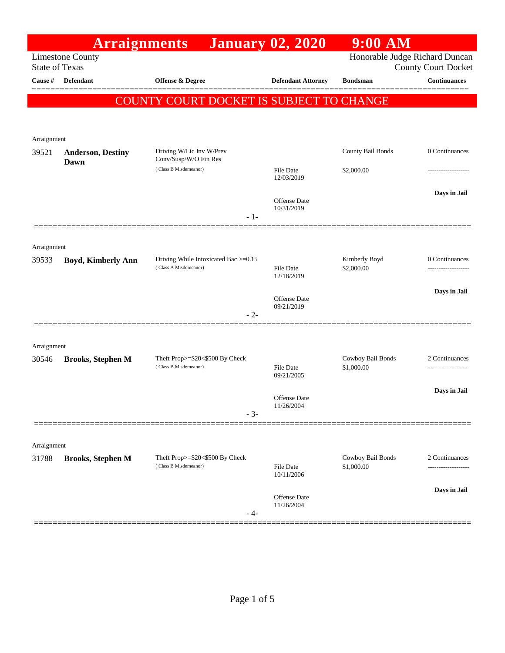|                                                  | <b>Arraignments</b>              |                                                               | <b>January 02, 2020</b>           | $9:00$ AM                       |                            |
|--------------------------------------------------|----------------------------------|---------------------------------------------------------------|-----------------------------------|---------------------------------|----------------------------|
| <b>Limestone County</b><br><b>State of Texas</b> |                                  |                                                               |                                   | Honorable Judge Richard Duncan  | <b>County Court Docket</b> |
| Cause #                                          | <b>Defendant</b>                 | <b>Offense &amp; Degree</b>                                   | <b>Defendant Attorney</b>         | <b>Bondsman</b>                 | <b>Continuances</b>        |
|                                                  |                                  | COUNTY COURT DOCKET IS SUBJECT TO CHANGE                      |                                   |                                 |                            |
|                                                  |                                  |                                                               |                                   |                                 |                            |
| Arraignment                                      |                                  |                                                               |                                   |                                 |                            |
| 39521                                            | <b>Anderson, Destiny</b><br>Dawn | Driving W/Lic Inv W/Prev<br>Conv/Susp/W/O Fin Res             |                                   | County Bail Bonds               | 0 Continuances             |
|                                                  |                                  | (Class B Misdemeanor)                                         | File Date<br>12/03/2019           | \$2,000.00                      | ----------------           |
|                                                  |                                  | $-1-$                                                         | <b>Offense Date</b><br>10/31/2019 |                                 | Days in Jail               |
|                                                  |                                  |                                                               |                                   |                                 |                            |
| Arraignment<br>39533                             | <b>Boyd, Kimberly Ann</b>        | Driving While Intoxicated Bac >=0.15<br>(Class A Misdemeanor) | <b>File Date</b><br>12/18/2019    | Kimberly Boyd<br>\$2,000.00     | 0 Continuances             |
|                                                  |                                  |                                                               | <b>Offense Date</b><br>09/21/2019 |                                 | Days in Jail               |
|                                                  |                                  | $-2-$                                                         |                                   |                                 |                            |
|                                                  |                                  |                                                               |                                   |                                 |                            |
| Arraignment<br>30546                             | <b>Brooks, Stephen M</b>         | Theft Prop>=\$20<\$500 By Check                               |                                   | Cowboy Bail Bonds               | 2 Continuances             |
|                                                  |                                  | (Class B Misdemeanor)                                         | <b>File Date</b><br>09/21/2005    | \$1,000.00                      |                            |
|                                                  |                                  | $-3-$                                                         | <b>Offense Date</b><br>11/26/2004 |                                 | Days in Jail               |
|                                                  |                                  |                                                               |                                   |                                 |                            |
| Arraignment                                      |                                  |                                                               |                                   |                                 |                            |
| 31788                                            | <b>Brooks, Stephen M</b>         | Theft Prop>=\$20<\$500 By Check<br>(Class B Misdemeanor)      | <b>File Date</b><br>10/11/2006    | Cowboy Bail Bonds<br>\$1,000.00 | 2 Continuances             |
|                                                  |                                  |                                                               |                                   |                                 | Days in Jail               |
|                                                  |                                  | - 4-                                                          | <b>Offense Date</b><br>11/26/2004 |                                 |                            |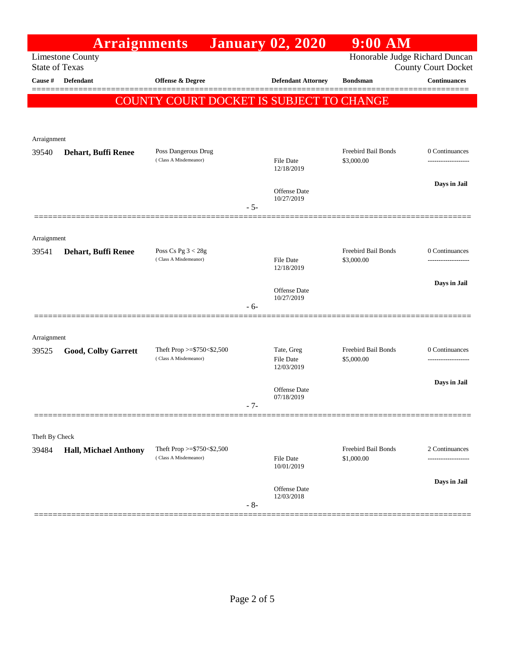|                                                  | <b>Arraignments</b>          |                                                          |       | <b>January 02, 2020</b>        | $9:00$ AM                         |                     |
|--------------------------------------------------|------------------------------|----------------------------------------------------------|-------|--------------------------------|-----------------------------------|---------------------|
| <b>Limestone County</b><br><b>State of Texas</b> |                              |                                                          |       | Honorable Judge Richard Duncan | <b>County Court Docket</b>        |                     |
| Cause #                                          | Defendant                    | <b>Offense &amp; Degree</b>                              |       | <b>Defendant Attorney</b>      | <b>Bondsman</b>                   | <b>Continuances</b> |
|                                                  |                              | COUNTY COURT DOCKET IS SUBJECT TO CHANGE                 |       |                                |                                   |                     |
|                                                  |                              |                                                          |       |                                |                                   |                     |
| Arraignment                                      |                              |                                                          |       |                                |                                   |                     |
| 39540                                            | Dehart, Buffi Renee          | Poss Dangerous Drug                                      |       |                                | Freebird Bail Bonds               | 0 Continuances      |
|                                                  |                              | (Class A Misdemeanor)                                    |       | <b>File Date</b><br>12/18/2019 | \$3,000.00                        | ------------------- |
|                                                  |                              |                                                          |       | Offense Date                   |                                   | Days in Jail        |
|                                                  |                              |                                                          | $-5-$ | 10/27/2019                     |                                   |                     |
|                                                  |                              |                                                          |       |                                |                                   |                     |
| Arraignment                                      |                              |                                                          |       |                                |                                   |                     |
| 39541                                            | Dehart, Buffi Renee          | Poss Cs Pg $3 < 28g$<br>(Class A Misdemeanor)            |       | File Date                      | Freebird Bail Bonds<br>\$3,000.00 | 0 Continuances      |
|                                                  |                              |                                                          |       | 12/18/2019                     |                                   |                     |
|                                                  |                              |                                                          |       | Offense Date                   |                                   | Days in Jail        |
|                                                  |                              |                                                          | $-6-$ | 10/27/2019                     |                                   |                     |
|                                                  |                              |                                                          |       |                                |                                   |                     |
| Arraignment                                      |                              |                                                          |       |                                |                                   |                     |
| 39525                                            | Good, Colby Garrett          | Theft Prop $>=$ \$750 < \$2,500<br>(Class A Misdemeanor) |       | Tate, Greg<br><b>File Date</b> | Freebird Bail Bonds<br>\$5,000.00 | 0 Continuances      |
|                                                  |                              |                                                          |       | 12/03/2019                     |                                   |                     |
|                                                  |                              |                                                          |       | Offense Date<br>07/18/2019     |                                   | Days in Jail        |
|                                                  |                              |                                                          | - 7-  |                                |                                   |                     |
|                                                  |                              |                                                          |       |                                |                                   |                     |
| Theft By Check<br>39484                          | <b>Hall, Michael Anthony</b> | Theft Prop >=\$750<\$2,500                               |       |                                | Freebird Bail Bonds               | 2 Continuances      |
|                                                  |                              | (Class A Misdemeanor)                                    |       | <b>File Date</b><br>10/01/2019 | \$1,000.00                        |                     |
|                                                  |                              |                                                          |       |                                |                                   | Days in Jail        |
|                                                  |                              |                                                          |       | Offense Date<br>12/03/2018     |                                   |                     |
|                                                  |                              |                                                          | $-8-$ |                                |                                   |                     |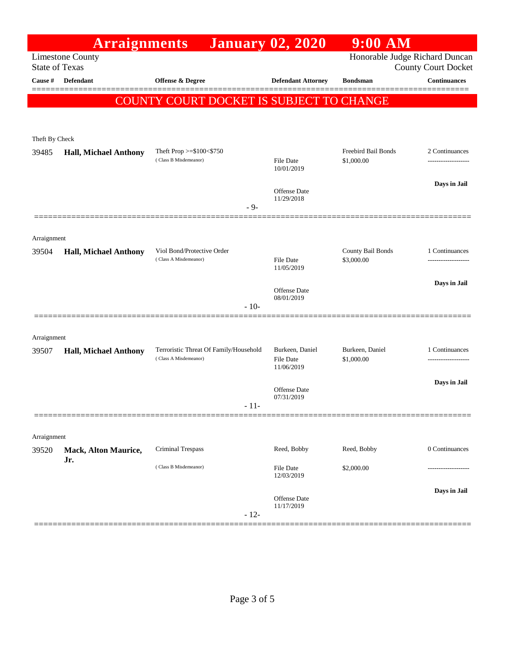|                       | <b>Arraignments</b>                |                                                              | <b>January 02, 2020</b>           | $9:00$ AM                         |                                      |
|-----------------------|------------------------------------|--------------------------------------------------------------|-----------------------------------|-----------------------------------|--------------------------------------|
| <b>State of Texas</b> | <b>Limestone County</b>            | Honorable Judge Richard Duncan<br><b>County Court Docket</b> |                                   |                                   |                                      |
| Cause #               | <b>Defendant</b>                   | <b>Offense &amp; Degree</b>                                  | <b>Defendant Attorney</b>         | <b>Bondsman</b>                   | <b>Continuances</b>                  |
|                       |                                    |                                                              |                                   |                                   |                                      |
|                       |                                    | COUNTY COURT DOCKET IS SUBJECT TO CHANGE                     |                                   |                                   |                                      |
|                       |                                    |                                                              |                                   |                                   |                                      |
| Theft By Check        |                                    |                                                              |                                   |                                   |                                      |
| 39485                 | <b>Hall, Michael Anthony</b>       | Theft Prop >=\$100<\$750<br>(Class B Misdemeanor)            | <b>File Date</b>                  | Freebird Bail Bonds<br>\$1,000.00 | 2 Continuances<br>------------------ |
|                       |                                    |                                                              | 10/01/2019                        |                                   |                                      |
|                       |                                    |                                                              | <b>Offense Date</b>               |                                   | Days in Jail                         |
|                       |                                    | - 9-                                                         | 11/29/2018                        |                                   |                                      |
|                       |                                    |                                                              |                                   |                                   |                                      |
| Arraignment           |                                    |                                                              |                                   |                                   |                                      |
| 39504                 | <b>Hall, Michael Anthony</b>       | Viol Bond/Protective Order                                   |                                   | County Bail Bonds                 | 1 Continuances                       |
|                       |                                    | (Class A Misdemeanor)                                        | <b>File Date</b><br>11/05/2019    | \$3,000.00                        | .                                    |
|                       |                                    |                                                              |                                   |                                   | Days in Jail                         |
|                       |                                    |                                                              | <b>Offense Date</b><br>08/01/2019 |                                   |                                      |
|                       |                                    | $-10-$                                                       |                                   |                                   |                                      |
|                       |                                    |                                                              |                                   |                                   |                                      |
| Arraignment<br>39507  | <b>Hall, Michael Anthony</b>       | Terroristic Threat Of Family/Household                       | Burkeen, Daniel                   | Burkeen, Daniel                   | 1 Continuances                       |
|                       |                                    | (Class A Misdemeanor)                                        | <b>File Date</b><br>11/06/2019    | \$1,000.00                        | .                                    |
|                       |                                    |                                                              |                                   |                                   | Days in Jail                         |
|                       |                                    |                                                              | Offense Date<br>07/31/2019        |                                   |                                      |
|                       |                                    | - 11-                                                        |                                   |                                   |                                      |
|                       |                                    |                                                              |                                   |                                   |                                      |
| Arraignment           |                                    |                                                              |                                   |                                   |                                      |
| 39520                 | <b>Mack, Alton Maurice,</b><br>Jr. | <b>Criminal Trespass</b>                                     | Reed, Bobby                       | Reed, Bobby                       | 0 Continuances                       |
|                       |                                    | (Class B Misdemeanor)                                        | <b>File Date</b><br>12/03/2019    | \$2,000.00                        |                                      |
|                       |                                    |                                                              |                                   |                                   | Days in Jail                         |
|                       |                                    |                                                              | Offense Date<br>11/17/2019        |                                   |                                      |
|                       |                                    | $-12-$                                                       |                                   |                                   |                                      |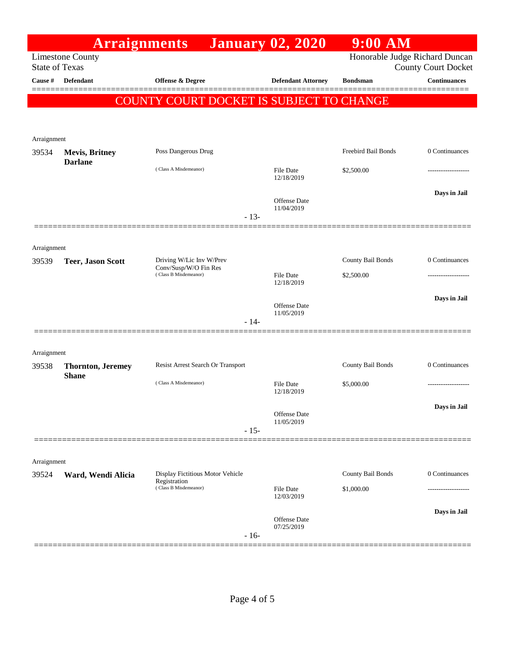|                                                  | <b>Arraignments</b>                       |                                                  | <b>January 02, 2020</b>                                      | $9:00$ AM           |                     |
|--------------------------------------------------|-------------------------------------------|--------------------------------------------------|--------------------------------------------------------------|---------------------|---------------------|
| <b>Limestone County</b><br><b>State of Texas</b> |                                           |                                                  | Honorable Judge Richard Duncan<br><b>County Court Docket</b> |                     |                     |
| Cause #                                          | <b>Defendant</b>                          | <b>Offense &amp; Degree</b>                      | <b>Defendant Attorney</b>                                    | <b>Bondsman</b>     | <b>Continuances</b> |
|                                                  |                                           | COUNTY COURT DOCKET IS SUBJECT TO CHANGE         |                                                              |                     |                     |
|                                                  |                                           |                                                  |                                                              |                     |                     |
|                                                  |                                           |                                                  |                                                              |                     |                     |
| Arraignment<br>39534                             | <b>Mevis, Britney</b>                     | Poss Dangerous Drug                              |                                                              | Freebird Bail Bonds | 0 Continuances      |
|                                                  | <b>Darlane</b>                            | (Class A Misdemeanor)                            |                                                              |                     |                     |
|                                                  |                                           |                                                  | <b>File Date</b><br>12/18/2019                               | \$2,500.00          |                     |
|                                                  |                                           |                                                  | Offense Date                                                 |                     | Days in Jail        |
|                                                  |                                           | $-13-$                                           | 11/04/2019                                                   |                     |                     |
|                                                  |                                           |                                                  |                                                              |                     |                     |
| Arraignment                                      |                                           |                                                  |                                                              |                     |                     |
| 39539                                            | <b>Teer, Jason Scott</b>                  | Driving W/Lic Inv W/Prev                         |                                                              | County Bail Bonds   | 0 Continuances      |
|                                                  |                                           | Conv/Susp/W/O Fin Res<br>(Class B Misdemeanor)   | <b>File Date</b>                                             | \$2,500.00          |                     |
|                                                  |                                           |                                                  | 12/18/2019                                                   |                     |                     |
|                                                  |                                           |                                                  | Offense Date                                                 |                     | Days in Jail        |
|                                                  |                                           | $-14-$                                           | 11/05/2019                                                   |                     |                     |
|                                                  |                                           |                                                  |                                                              |                     |                     |
| Arraignment                                      |                                           |                                                  |                                                              |                     |                     |
| 39538                                            | <b>Thornton</b> , Jeremey<br><b>Shane</b> | Resist Arrest Search Or Transport                |                                                              | County Bail Bonds   | 0 Continuances      |
|                                                  |                                           | (Class A Misdemeanor)                            | <b>File Date</b><br>12/18/2019                               | \$5,000.00          | ------------------  |
|                                                  |                                           |                                                  |                                                              |                     | Days in Jail        |
|                                                  |                                           |                                                  | Offense Date<br>11/05/2019                                   |                     |                     |
|                                                  |                                           | $-15-$                                           |                                                              |                     |                     |
|                                                  |                                           |                                                  |                                                              |                     |                     |
| Arraignment                                      |                                           |                                                  |                                                              |                     |                     |
| 39524                                            | Ward, Wendi Alicia                        | Display Fictitious Motor Vehicle<br>Registration |                                                              | County Bail Bonds   | 0 Continuances      |
|                                                  |                                           | (Class B Misdemeanor)                            | <b>File Date</b><br>12/03/2019                               | \$1,000.00          |                     |
|                                                  |                                           |                                                  | Offense Date                                                 |                     | Days in Jail        |
|                                                  |                                           |                                                  | 07/25/2019                                                   |                     |                     |
| -------                                          |                                           | $-16-$                                           |                                                              |                     |                     |